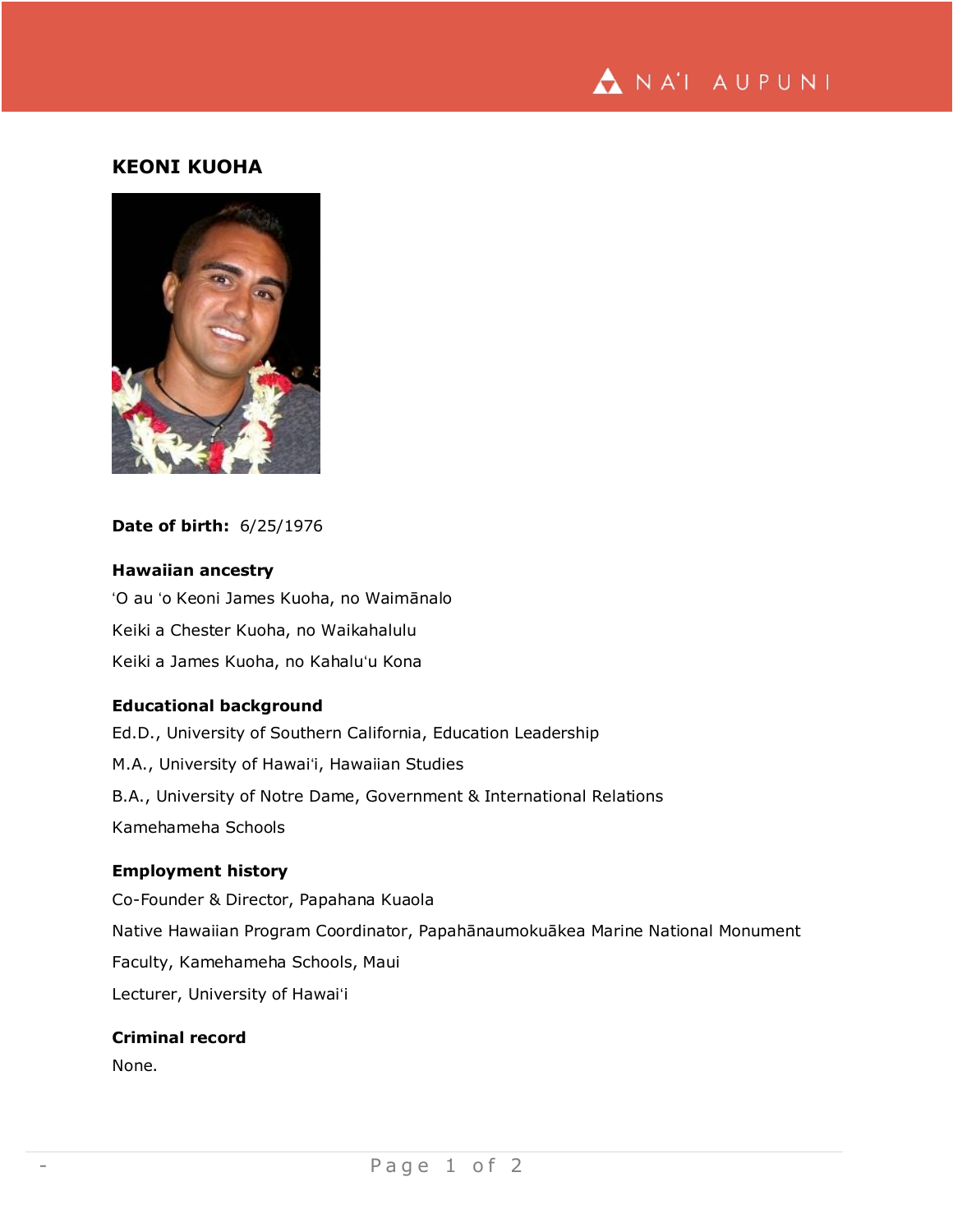

# **KEONI KUOHA**



#### **Date of birth:** 6/25/1976

## **Hawaiian ancestry**

ʻO au ʻo Keoni James Kuoha, no Waimānalo Keiki a Chester Kuoha, no Waikahalulu Keiki a James Kuoha, no Kahaluʻu Kona

### **Educational background**

Ed.D., University of Southern California, Education Leadership M.A., University of Hawaiʻi, Hawaiian Studies B.A., University of Notre Dame, Government & International Relations Kamehameha Schools

### **Employment history**

Co-Founder & Director, Papahana Kuaola Native Hawaiian Program Coordinator, Papahānaumokuākea Marine National Monument Faculty, Kamehameha Schools, Maui Lecturer, University of Hawaiʻi

### **Criminal record**

None.